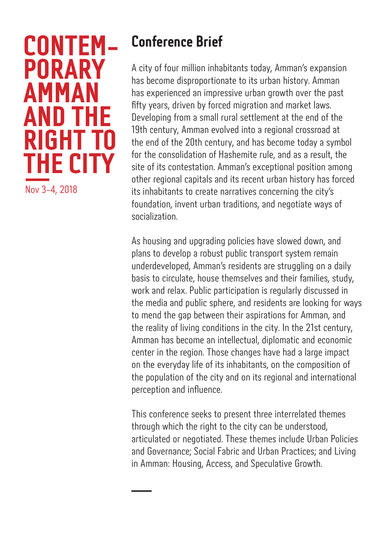# **CONTEM-PORARY AMMAN AND THE RIGHT T THE CITY** Nov 3-4, 2018

**Conference Brief**

A city of four million inhabitants today, Amman's expansion has become disproportionate to its urban history. Amman has experienced an impressive urban growth over the past fifty years, driven by forced migration and market laws. Developing from a small rural settlement at the end of the 19th century, Amman evolved into a regional crossroad at the end of the 20th century, and has become today a symbol for the consolidation of Hashemite rule, and as a result, the site of its contestation. Amman's exceptional position among other regional capitals and its recent urban history has forced its inhabitants to create narratives concerning the city's foundation, invent urban traditions, and negotiate ways of socialization.

As housing and upgrading policies have slowed down, and plans to develop a robust public transport system remain underdeveloped, Amman's residents are struggling on a daily basis to circulate, house themselves and their families, study, work and relax. Public participation is regularly discussed in the media and public sphere, and residents are looking for ways to mend the gap between their aspirations for Amman, and the reality of living conditions in the city. In the 21st century, Amman has become an intellectual, diplomatic and economic center in the region. Those changes have had a large impact on the everyday life of its inhabitants, on the composition of the population of the city and on its regional and international perception and influence.

This conference seeks to present three interrelated themes through which the right to the city can be understood, articulated or negotiated. These themes include Urban Policies and Governance; Social Fabric and Urban Practices; and Living in Amman: Housing, Access, and Speculative Growth.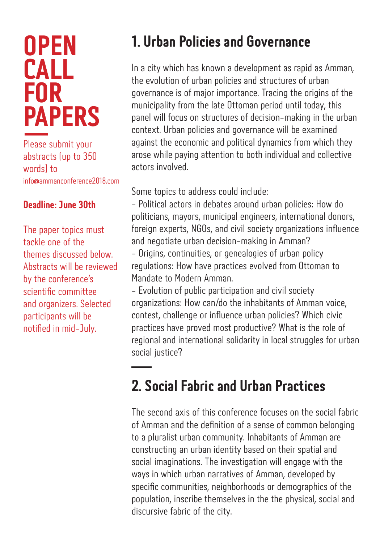# **OPEN CALL FOR PAPERS**

Please submit your abstracts (up to 350 words) to info@ammanconference2018.com

#### **Deadline: June 30th**

The paper topics must tackle one of the themes discussed below. Abstracts will be reviewed by the conference's scientific committee and organizers. Selected participants will be notified in mid-July.

### **1. Urban Policies and Governance**

In a city which has known a development as rapid as Amman, the evolution of urban policies and structures of urban governance is of major importance. Tracing the origins of the municipality from the late Ottoman period until today, this panel will focus on structures of decision-making in the urban context. Urban policies and governance will be examined against the economic and political dynamics from which they arose while paying attention to both individual and collective actors involved.

Some topics to address could include:

- Political actors in debates around urban policies: How do politicians, mayors, municipal engineers, international donors, foreign experts, NGOs, and civil society organizations influence and negotiate urban decision-making in Amman?

- Origins, continuities, or genealogies of urban policy regulations: How have practices evolved from Ottoman to Mandate to Modern Amman.

- Evolution of public participation and civil society organizations: How can/do the inhabitants of Amman voice, contest, challenge or influence urban policies? Which civic practices have proved most productive? What is the role of regional and international solidarity in local struggles for urban social justice?

### **2. Social Fabric and Urban Practices**

The second axis of this conference focuses on the social fabric of Amman and the definition of a sense of common belonging to a pluralist urban community. Inhabitants of Amman are constructing an urban identity based on their spatial and social imaginations. The investigation will engage with the ways in which urban narratives of Amman, developed by specific communities, neighborhoods or demographics of the population, inscribe themselves in the the physical, social and discursive fabric of the city.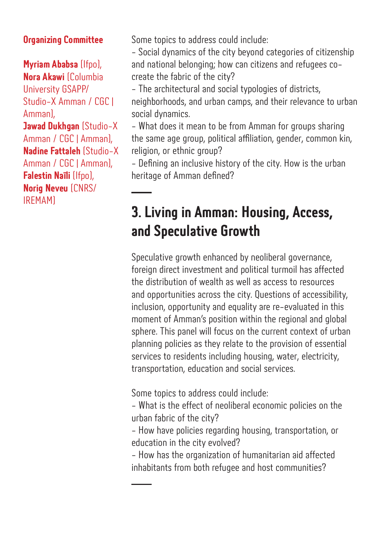#### **Organizing Committee**

**Myriam Ababsa** (Ifpo), **Nora Akawi** (Columbia University GSAPP/ Studio-X Amman / CGC | Amman), **Jawad Dukhgan** (Studio-X Amman / CGC | Amman), **Nadine Fattaleh** (Studio-X Amman / CGC | Amman), **Falestin Naïli** (Ifpo), **Norig Neveu** (CNRS/ IREMAM)

Some topics to address could include:

- Social dynamics of the city beyond categories of citizenship and national belonging; how can citizens and refugees cocreate the fabric of the city?

- The architectural and social typologies of districts, neighborhoods, and urban camps, and their relevance to urban social dynamics.

- What does it mean to be from Amman for groups sharing the same age group, political affiliation, gender, common kin, religion, or ethnic group?

- Defining an inclusive history of the city. How is the urban heritage of Amman defined?

#### **3. Living in Amman: Housing, Access, and Speculative Growth**

Speculative growth enhanced by neoliberal governance, foreign direct investment and political turmoil has affected the distribution of wealth as well as access to resources and opportunities across the city. Questions of accessibility, inclusion, opportunity and equality are re-evaluated in this moment of Amman's position within the regional and global sphere. This panel will focus on the current context of urban planning policies as they relate to the provision of essential services to residents including housing, water, electricity, transportation, education and social services.

Some topics to address could include:

- What is the effect of neoliberal economic policies on the urban fabric of the city?

- How have policies regarding housing, transportation, or education in the city evolved?

- How has the organization of humanitarian aid affected inhabitants from both refugee and host communities?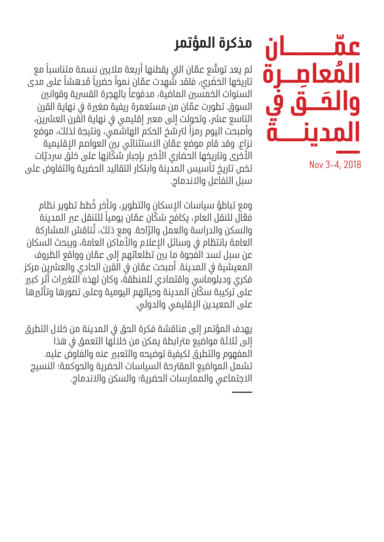

Nov 3-4, 2018

## **مذكرة المؤتمر**

لم يعد توسُّع عمّان التي يقطنها أربعة ملايين نسمة متناسباً مع تاريخها الحَضَري، فلقد شهِدت عمّان نموا حضريا مُدهشا على مدى<br>السنوات الخمسور العاضية .مدفعهاً بالعمية القسمية وقوانين السنوات الخمسين الماضية، مدفوعاً بالهجرة القسرية وقوانين السوق. تطورت عمّان من مستعمرة ريفية صغيرة في نهاية القرن التاسع عشر، وتحولت إلى معبر إقليمي في نهاية القرن العشرين، ً وأصبحت اليوم رمزا ّ لرتسخ الحكم الهاشمي، ونتيجة لذلك، موضع نزاع. وقد قام موضع عمّان الاستثنائي بين العواصم الإقليمية الأُخْرِي وتاريخُها الحضاري الأخير بإجبار سُكَّانِها على خلق سرديّات تخص تاريخ تأسيس المدينة وابتكار التقاليد الحضرية والتفاوض على سبل التفاعل واالندماج.

ُ ومع تباطؤ سياسات اإلسكان والتطوير، وتأخر خطط تطوير نظام ُ فَعّال للنقل العام، يكافح سُكّان عمّان يومياً للتنقل عبر المدينة والسكن والدراسة والعمل والرّاحة. ومع ذلك، تُناقش المشاركة العامة بانتظام في وسائل الإعلام والأماكن العامة، ويبحث السكان عن سبل لسد الفَّجوة ما بين تطلعاتهم إلى عمّان وواقع الظروف المعيشية في المدينة. أصبحت عمّان في القرن الحادي والعشرين مركز فكري ودبلوماسي واقتصادي للمنطقة، وكان لهذه التغيرات أثر كبير على تركيبة سكّان المدينة وحياتهم اليومية وعلى تصورها وتأثيرها على الصعيدين اإلقليمي والدولي.

يهدف المؤتمر إلى مناقشة فكرة الحق في المدينة من خلال التطرق إلى ثلاثة مواضيع مترابطة يمكن من خلالُها التعمق في هذا المفهوم والتطرق لكيفية توضيحه والتعبري عنه والفاوض عليه. تشمل المواضيع المقرتحة السياسات الحضرية والحوكمة؛ النسيج االجتماعي والممارسات الحضرية؛ والسكن واالندماج.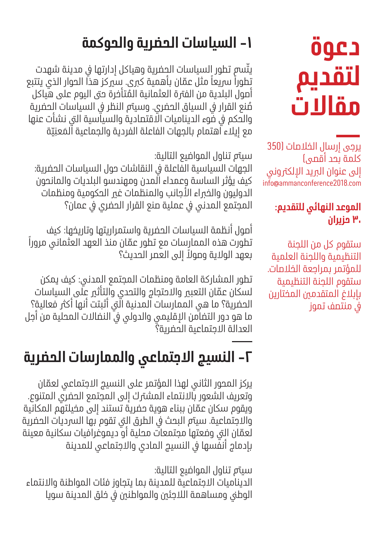# **دعوة لتقديم مقاالت**

يرجى إرسال الخلاصات (350 كلمة بحد أقصى( إلى عنوان البريد الإلكتروني info@ammanconference2018.com

#### **الموعد النهائي للتقديم: ٣٠ حزيران**

ستقوم كل من اللجنة التنظيمية واللجنة العلمية للمؤتمر بمراجعة الخالصات. ستقوم اللجنة التنظيمية بإبالغ المتقدمني المختارين يف منتصف تموز

### **-1 السياسات الحضرية والحوكمة**

يتّسم تطور السياسات الحضرية وهياكل إدارتها في مدينة شهدت تطوراً سريعاً مثل عمّان بأهمية كبرى. سيركز هذا الحوار الذي يتتبع ُ أصول البلدية من الفرتة العثمانية المتأخرة حىت اليوم على هياكل مُنع القرار في السياق الحضري. وسيتم النظر في السياسات الحضرية والحكم في ضوء الديناميات الاقتصادية والسياسية التي نشأت عنها مع إيلاء اهتمام بالجهات الفاعلة الفردية والجماعية المَعنِيّة

سيمت تناول المواضيع التالية:

الجهات السياسية الفاعلة يف النقاشات حول السياسات الحضرية: كيف يؤثر الساسة وعمداء المدن ومهندسو البلديات والمانحون الدوليون والخبراء الأجانب والمنظمات غي الحكومية ومنظمات المجتمع المدني في عملية صنع القرار الحضري في عمان؟

أصول أنظمة السياسات الحضرية واستمراريتها وتاريخها: كيف تطورت هذه الممارسات مع تطور عمّان منذ العهد العثماني مروراً ً بعهد الوالية وصوال إلى العصر الحديث؟

تطور المشاركة العامة ومنظمات المجتمع المدني: كيف يمكن لسكان عمّان التعبير والاحتجاج والتحدي والتأثير على السياسات الحضرية؟ ما هي الممارسات المدنية التي أثبتت أنها أكثر فعالية؟ ما هو دور التضامن الإقليمي والدولي في النضالات المحلية من أجل العدالة االجتماعية الحضرية؟

## **-٢ النسيج االجتماعي والممارسات الحضرية**

ّ يركز المحور الثاني لهذا المؤتمر على النسيج االجتماعي لعمان وتعريف الشعور باالنتماء المشرتك إلى المجتمع الحضري المتنوع. ّ ويقوم سكان عمان ببناء هوية حضرية تستند إلى مخيلتهم المكانية والاجتماعية. سيتم البحث في الطرق الى تقوم بها السرديات الحضرية لعمّان التي وضعتها مجتمعات محلية أو ديموغرافيات سكانية معينة بإدماج أنفسها في النسيج المادي والاجتماعي للمدينة

سيمت تناول المواضيع التالية:

الديناميات االجتماعية للمدينة بما يتجاوز فئات المواطنة واالنتماء الوطي ومساهمة اللاجئين والمواطنين في خلق المدينة سويا